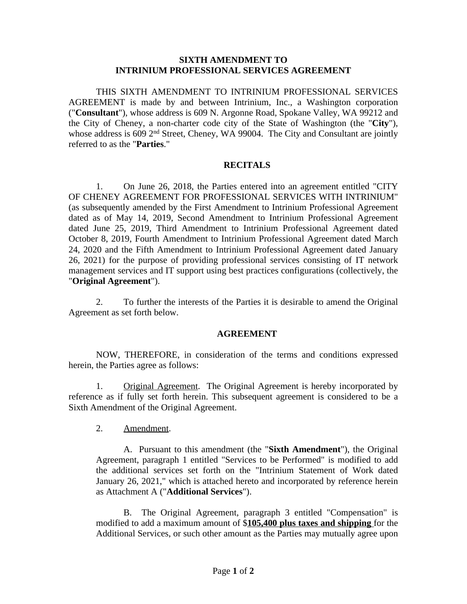## **SIXTH AMENDMENT TO INTRINIUM PROFESSIONAL SERVICES AGREEMENT**

THIS SIXTH AMENDMENT TO INTRINIUM PROFESSIONAL SERVICES AGREEMENT is made by and between Intrinium, Inc., a Washington corporation ("**Consultant**"), whose address is 609 N. Argonne Road, Spokane Valley, WA 99212 and the City of Cheney, a non-charter code city of the State of Washington (the "**City**"), whose address is 609 2<sup>nd</sup> Street, Cheney, WA 99004. The City and Consultant are jointly referred to as the "**Parties**."

## **RECITALS**

1. On June 26, 2018, the Parties entered into an agreement entitled "CITY OF CHENEY AGREEMENT FOR PROFESSIONAL SERVICES WITH INTRINIUM" (as subsequently amended by the First Amendment to Intrinium Professional Agreement dated as of May 14, 2019, Second Amendment to Intrinium Professional Agreement dated June 25, 2019, Third Amendment to Intrinium Professional Agreement dated October 8, 2019, Fourth Amendment to Intrinium Professional Agreement dated March 24, 2020 and the Fifth Amendment to Intrinium Professional Agreement dated January 26, 2021) for the purpose of providing professional services consisting of IT network management services and IT support using best practices configurations (collectively, the "**Original Agreement**").

2. To further the interests of the Parties it is desirable to amend the Original Agreement as set forth below.

## **AGREEMENT**

NOW, THEREFORE, in consideration of the terms and conditions expressed herein, the Parties agree as follows:

1. Original Agreement. The Original Agreement is hereby incorporated by reference as if fully set forth herein. This subsequent agreement is considered to be a Sixth Amendment of the Original Agreement.

2. Amendment.

A. Pursuant to this amendment (the "**Sixth Amendment**"), the Original Agreement, paragraph 1 entitled "Services to be Performed" is modified to add the additional services set forth on the "Intrinium Statement of Work dated January 26, 2021," which is attached hereto and incorporated by reference herein as Attachment A ("**Additional Services**").

B. The Original Agreement, paragraph 3 entitled "Compensation" is modified to add a maximum amount of \$**105,400 plus taxes and shipping** for the Additional Services, or such other amount as the Parties may mutually agree upon